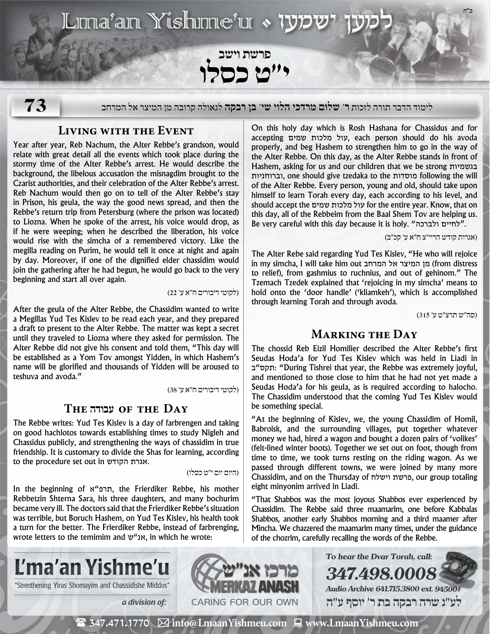# $\overline{\text{L}}$ ma'an Yishme'u • 1972

פרשת וישב<br>**י"ט כסלו** 

**73**

לימוד הדבר תורה לזכות **ר' שלום מרדכי הלוי שי' בן רבקה** לגאולה קרובה מן המיצר אל המרחב

# **Living with the Event**

Year after year, Reb Nachum, the Alter Rebbe's grandson, would relate with great detail all the events which took place during the stormy time of the Alter Rebbe's arrest. He would describe the background, the libelous accusation the misnagdim brought to the Czarist authorities, and their celebration of the Alter Rebbe's arrest. Reb Nachum would then go on to tell of the Alter Rebbe's stay in Prison, his geula, the way the good news spread, and then the Rebbe's return trip from Petersburg (where the prison was located) to Liozna. When he spoke of the arrest, his voice would drop, as if he were weeping; when he described the liberation, his voice would rise with the simcha of a remembered victory. Like the megilla reading on Purim, he would tell it once at night and again by day. Moreover, if one of the dignified elder chassidim would join the gathering after he had begun, he would go back to the very beginning and start all over again.

)לקוטי דיבורים ח״א ע׳ 22(

After the geula of the Alter Rebbe, the Chassidim wanted to write a Megillas Yud Tes Kislev to be read each year, and they prepared a draft to present to the Alter Rebbe. The matter was kept a secret until they traveled to Liozna where they asked for permission. The Alter Rebbe did not give his consent and told them, "This day will be established as a Yom Tov amongst Yidden, in which Hashem's name will be glorified and thousands of Yidden will be aroused to teshuva and avoda."

)לקוטי דיבורים ח״א ע׳ 38(

# **The עבודה of the Day**

The Rebbe writes: Yud Tes Kislev is a day of farbrengen and taking on good hachlotos towards establishing times to study Nigleh and Chassidus publicly, and strengthening the ways of chassidim in true friendship. It is customary to divide the Shas for learning, according to the procedure set out in הקודש אגרת.

)היום יום י״ט כסלו(

In the beginning of א"תרפ, the Frierdiker Rebbe, his mother Rebbetzin Shterna Sara, his three daughters, and many bochurim became very ill. The doctors said that the Frierdiker Rebbe's situation was terrible, but Boruch Hashem, on Yud Tes Kislev, his health took a turn for the better. The Frierdiker Rebbe, instead of farbrenging, wrote letters to the temimim and ש"אנ, in which he wrote:

On this holy day which is Rosh Hashana for Chassidus and for accepting שמים מלכות עול, each person should do his avoda properly, and beg Hashem to strengthen him to go in the way of the Alter Rebbe. On this day, as the Alter Rebbe stands in front of Hashem, asking for us and our children that we be strong בגשמיות וברוחניות, one should give tzedaka to the מוסדות following the will of the Alter Rebbe. Every person, young and old, should take upon himself to learn Torah every day, each according to his level, and should accept the שמים מלכות עול for the entire year. Know, that on this day, all of the Rebbeim from the Baal Shem Tov are helping us. Be very careful with this day because it is holy. "ולברכה לחיים".

#### )אגרות קודש הריי״צ ח״א ע׳ קכ״ב(

The Alter Rebe said regarding Yud Tes Kislev, "He who will rejoice in my simcha, I will take him out המרחב אל המיצר מן) from distress to relief), from gashmius to ruchnius, and out of gehinom." The Tzemach Tzedek explained that 'rejoicing in my simcha' means to hold onto the 'door handle' ('kliamkeh'), which is accomplished through learning Torah and through avoda.

)סה״ש תרצ״ט ע׳ 315(

# **Marking the Day**

The chossid Reb Eizil Homilier described the Alter Rebbe's first Seudas Hoda'a for Yud Tes Kislev which was held in Liadi in ב"תקס:" During Tishrei that year, the Rebbe was extremely joyful, and mentioned to those close to him that he had not yet made a Seudas Hoda'a for his geula, as is required according to halocho. The Chassidim understood that the coming Yud Tes Kislev would be something special.

"At the beginning of Kislev, we, the young Chassidim of Homil, Babroisk, and the surrounding villages, put together whatever money we had, hired a wagon and bought a dozen pairs of 'volikes' (felt-lined winter boots). Together we set out on foot, though from time to time, we took turns resting on the riding wagon. As we passed through different towns, we were joined by many more Chassidim, and on the Thursday of וישלח פרשת, our group totaling eight minyonim arrived in Liadi.

"That Shabbos was the most joyous Shabbos ever experienced by Chassidim. The Rebbe said three maamarim, one before Kabbalas Shabbos, another early Shabbos morning and a third maamer after Mincha. We chazzered the maamarim many times, under the guidance of the chozrim, carefully recalling the words of the Rebbe.

**To hear the Dvar Torah, call:**

**Audio Archive 641.715.3800 ext. 94500# לע"נ שרה רבקה בת ר׳ יוסף ע"ה**

**347.498.0008**



"Strenthening Yiras Shomayim and Chassidishe Middos" **WAMERKAY ANASH** 



( 347.471.1770 **info@LmaanYishmeu.com www.LmaanYishmeu.com**  $\mathbf{m}$  and  $\mathbf{m}$  and  $\mathbf{m}$